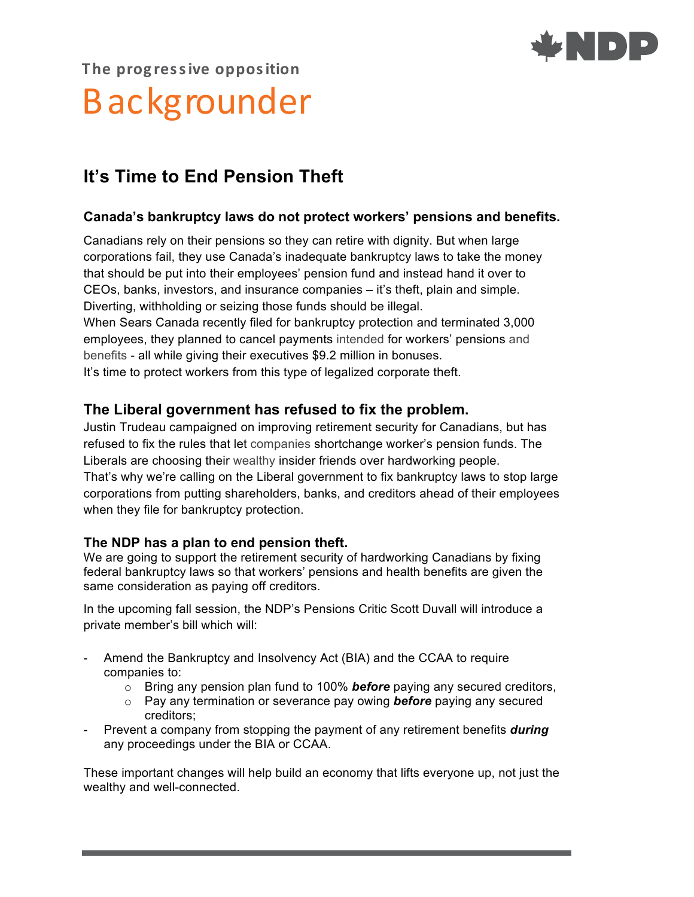

# **The prog res sive opposition** Backgrounder

# **It's Time to End Pension Theft**

### **Canada's bankruptcy laws do not protect workers' pensions and benefits.**

Canadians rely on their pensions so they can retire with dignity. But when large corporations fail, they use Canada's inadequate bankruptcy laws to take the money that should be put into their employees' pension fund and instead hand it over to CEOs, banks, investors, and insurance companies – it's theft, plain and simple. Diverting, withholding or seizing those funds should be illegal. When Sears Canada recently filed for bankruptcy protection and terminated 3,000 employees, they planned to cancel payments intended for workers' pensions and benefits - all while giving their executives \$9.2 million in bonuses. It's time to protect workers from this type of legalized corporate theft.

## **The Liberal government has refused to fix the problem.**

Justin Trudeau campaigned on improving retirement security for Canadians, but has refused to fix the rules that let companies shortchange worker's pension funds. The Liberals are choosing their wealthy insider friends over hardworking people. That's why we're calling on the Liberal government to fix bankruptcy laws to stop large corporations from putting shareholders, banks, and creditors ahead of their employees when they file for bankruptcy protection.

#### **The NDP has a plan to end pension theft.**

We are going to support the retirement security of hardworking Canadians by fixing federal bankruptcy laws so that workers' pensions and health benefits are given the same consideration as paying off creditors.

In the upcoming fall session, the NDP's Pensions Critic Scott Duvall will introduce a private member's bill which will:

- Amend the Bankruptcy and Insolvency Act (BIA) and the CCAA to require companies to:
	- o Bring any pension plan fund to 100% *before* paying any secured creditors,
	- o Pay any termination or severance pay owing *before* paying any secured creditors;
- Prevent a company from stopping the payment of any retirement benefits *during* any proceedings under the BIA or CCAA.

These important changes will help build an economy that lifts everyone up, not just the wealthy and well-connected.